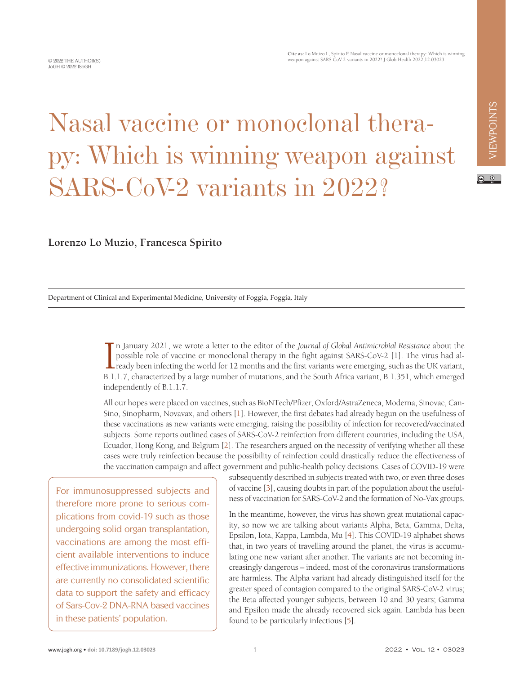$\circ$   $\circ$ 

# Nasal vaccine or monoclonal therapy: Which is winning weapon against SARS-CoV-2 variants in 2022?

## **Lorenzo Lo Muzio, Francesca Spirito**

Department of Clinical and Experimental Medicine, University of Foggia, Foggia, Italy

In January 2021, we wrote a letter to the editor of the *Journal of Global Antimicrobial Resistance* about the possible role of vaccine or monoclonal therapy in the fight against SARS-CoV-2 [1]. The virus had already been n January 2021, we wrote a letter to the editor of the *Journal of Global Antimicrobial Resistance* about the possible role of vaccine or monoclonal therapy in the fight against SARS-CoV-2 [1]. The virus had already been infecting the world for 12 months and the first variants were emerging, such as the UK variant, independently of B.1.1.7.

All our hopes were placed on vaccines, such as BioNTech/Pfizer, Oxford/AstraZeneca, Moderna, Sinovac, Can-Sino, Sinopharm, Novavax, and others [\[1\]](#page-2-0). However, the first debates had already begun on the usefulness of these vaccinations as new variants were emerging, raising the possibility of infection for recovered/vaccinated subjects. Some reports outlined cases of SARS-CoV-2 reinfection from different countries, including the USA, Ecuador, Hong Kong, and Belgium [[2\]](#page-2-1). The researchers argued on the necessity of verifying whether all these cases were truly reinfection because the possibility of reinfection could drastically reduce the effectiveness of the vaccination campaign and affect government and public-health policy decisions. Cases of COVID-19 were

For immunosuppressed subjects and therefore more prone to serious complications from covid-19 such as those undergoing solid organ transplantation, vaccinations are among the most efficient available interventions to induce effective immunizations. However, there are currently no consolidated scientific data to support the safety and efficacy of Sars-Cov-2 DNA-RNA based vaccines in these patients' population.

subsequently described in subjects treated with two, or even three doses of vaccine [\[3](#page-2-2)], causing doubts in part of the population about the usefulness of vaccination for SARS-CoV-2 and the formation of No-Vax groups.

In the meantime, however, the virus has shown great mutational capacity, so now we are talking about variants Alpha, Beta, Gamma, Delta, Epsilon, Iota, Kappa, Lambda, Mu [\[4](#page-2-3)]. This COVID-19 alphabet shows that, in two years of travelling around the planet, the virus is accumulating one new variant after another. The variants are not becoming increasingly dangerous – indeed, most of the coronavirus transformations are harmless. The Alpha variant had already distinguished itself for the greater speed of contagion compared to the original SARS-CoV-2 virus; the Beta affected younger subjects, between 10 and 30 years; Gamma and Epsilon made the already recovered sick again. Lambda has been found to be particularly infectious [\[5](#page-2-4)].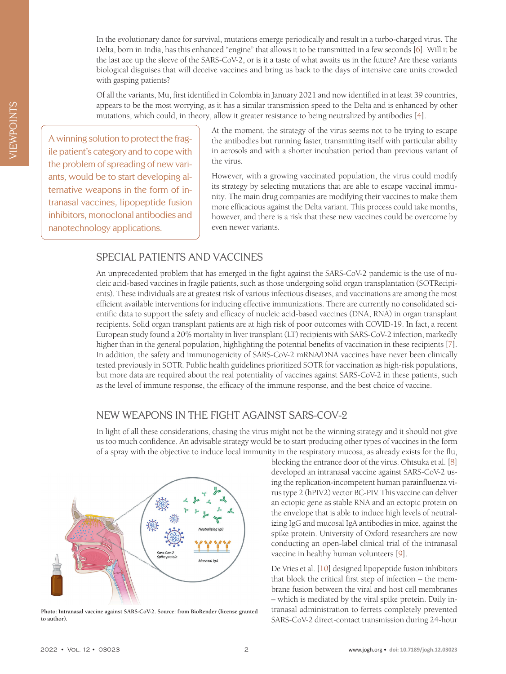In the evolutionary dance for survival, mutations emerge periodically and result in a turbo-charged virus. The Delta, born in India, has this enhanced "engine" that allows it to be transmitted in a few seconds [[6\]](#page-3-0). Will it be the last ace up the sleeve of the SARS-CoV-2, or is it a taste of what awaits us in the future? Are these variants biological disguises that will deceive vaccines and bring us back to the days of intensive care units crowded with gasping patients?

Of all the variants, Mu, first identified in Colombia in January 2021 and now identified in at least 39 countries, appears to be the most worrying, as it has a similar transmission speed to the Delta and is enhanced by other mutations, which could, in theory, allow it greater resistance to being neutralized by antibodies [\[4](#page-2-3)].

A winning solution to protect the fragile patient's category and to cope with the problem of spreading of new variants, would be to start developing alternative weapons in the form of intranasal vaccines, lipopeptide fusion inhibitors, monoclonal antibodies and nanotechnology applications.

At the moment, the strategy of the virus seems not to be trying to escape the antibodies but running faster, transmitting itself with particular ability in aerosols and with a shorter incubation period than previous variant of the virus.

However, with a growing vaccinated population, the virus could modify its strategy by selecting mutations that are able to escape vaccinal immunity. The main drug companies are modifying their vaccines to make them more efficacious against the Delta variant. This process could take months, however, and there is a risk that these new vaccines could be overcome by even newer variants.

## SPECIAL PATIENTS AND VACCINES

An unprecedented problem that has emerged in the fight against the SARS-CoV-2 pandemic is the use of nucleic acid-based vaccines in fragile patients, such as those undergoing solid organ transplantation (SOTRecipients). These individuals are at greatest risk of various infectious diseases, and vaccinations are among the most efficient available interventions for inducing effective immunizations. There are currently no consolidated scientific data to support the safety and efficacy of nucleic acid-based vaccines (DNA, RNA) in organ transplant recipients. Solid organ transplant patients are at high risk of poor outcomes with COVID-19. In fact, a recent European study found a 20% mortality in liver transplant (LT) recipients with SARS-CoV-2 infection, markedly higher than in the general population, highlighting the potential benefits of vaccination in these recipients [[7\]](#page-3-1). In addition, the safety and immunogenicity of SARS-CoV-2 mRNA/DNA vaccines have never been clinically tested previously in SOTR. Public health guidelines prioritized SOTR for vaccination as high-risk populations, but more data are required about the real potentiality of vaccines against SARS-CoV-2 in these patients, such as the level of immune response, the efficacy of the immune response, and the best choice of vaccine.

# NEW WEAPONS IN THE FIGHT AGAINST SARS-COV-2

In light of all these considerations, chasing the virus might not be the winning strategy and it should not give us too much confidence. An advisable strategy would be to start producing other types of vaccines in the form of a spray with the objective to induce local immunity in the respiratory mucosa, as already exists for the flu,



**Photo: Intranasal vaccine against SARS-CoV-2. Source: from BioRender (license granted to author).**

blocking the entrance door of the virus. Ohtsuka et al. [\[8](#page-3-2)] developed an intranasal vaccine against SARS-CoV-2 using the replication-incompetent human parainfluenza virus type 2 (hPIV2) vector BC-PIV. This vaccine can deliver an ectopic gene as stable RNA and an ectopic protein on the envelope that is able to induce high levels of neutralizing IgG and mucosal IgA antibodies in mice, against the spike protein. University of Oxford researchers are now conducting an open-label clinical trial of the intranasal vaccine in healthy human volunteers [\[9](#page-3-3)].

De Vries et al. [\[10](#page-3-4)] designed lipopeptide fusion inhibitors that block the critical first step of infection – the membrane fusion between the viral and host cell membranes – which is mediated by the viral spike protein. Daily intranasal administration to ferrets completely prevented SARS-CoV-2 direct-contact transmission during 24-hour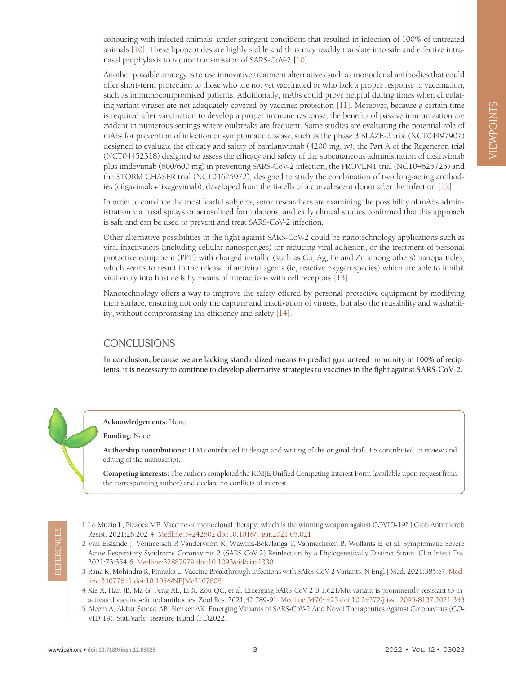cohousing with infected animals, under stringent conditions that resulted in infection of 100% of untreated animals [[10\]](#page-3-4). These lipopeptides are highly stable and thus may readily translate into safe and effective intranasal prophylaxis to reduce transmission of SARS-CoV-2 [[10\]](#page-3-4).

Another possible strategy is to use innovative treatment alternatives such as monoclonal antibodies that could offer short-term protection to those who are not yet vaccinated or who lack a proper response to vaccination, such as immunocompromised patients. Additionally, mAbs could prove helpful during times when circulating variant viruses are not adequately covered by vaccines protection [\[11](#page-3-5)]. Moreover, because a certain time is required after vaccination to develop a proper immune response, the benefits of passive immunization are evident in numerous settings where outbreaks are frequent. Some studies are evaluating the potential role of mAbs for prevention of infection or symptomatic disease, such as the phase 3 BLAZE-2 trial (NCT04497907) designed to evaluate the efficacy and safety of bamlanivimab (4200 mg, iv), the Part A of the Regeneron trial (NCT04452318) designed to assess the efficacy and safety of the subcutaneous administration of casirivimab plus imdevimab (600/600 mg) in preventing SARS-CoV-2 infection, the PROVENT trial (NCT04625725) and the STORM CHASER trial (NCT04625972), designed to study the combination of two long-acting antibodies (cilgavimab+tixagevimab), developed from the B-cells of a convalescent donor after the infection [\[12](#page-3-6)].

In order to convince the most fearful subjects, some researchers are examining the possibility of mAbs administration via nasal sprays or aerosolized formulations, and early clinical studies confirmed that this approach is safe and can be used to prevent and treat SARS-CoV-2 infection.

Other alternative possibilities in the fight against SARS-CoV-2 could be nanotechnology applications such as viral inactivators (including cellular nanosponges) for reducing viral adhesion, or the treatment of personal protective equipment (PPE) with charged metallic (such as Cu, Ag, Fe and Zn among others) nanoparticles, which seems to result in the release of antiviral agents (ie, reactive oxygen species) which are able to inhibit viral entry into host cells by means of interactions with cell receptors [\[13](#page-3-7)].

Nanotechnology offers a way to improve the safety offered by personal protective equipment by modifying their surface, ensuring not only the capture and inactivation of viruses, but also the reusability and washability, without compromising the efficiency and safety [\[14](#page-3-8)].

# CONCLUSIONS

In conclusion, because we are lacking standardized means to predict guaranteed immunity in 100% of recipients, it is necessary to continue to develop alternative strategies to vaccines in the fight against SARS-CoV-2.



**Acknowledgements:** None.

**Funding:** None.

**Authorship contributions:** LLM contributed to design and writing of the original draft. FS contributed to review and editing of the manuscript.

**Competing interests:** The authors completed the ICMJE Unified Competing Interest Form (available upon request from the corresponding author) and declare no conflicts of interest.

- <span id="page-2-0"></span>1 Lo Muzio L, Bizzoca ME. Vaccine or monoclonal therapy: which is the winning weapon against COVID-19? J Glob Antimicrob Resist. 2021;26:202-4. [Medline:34242802](https://www.ncbi.nlm.nih.gov/entrez/query.fcgi?cmd=Retrieve&db=PubMed&list_uids=34242802&dopt=Abstract) [doi:10.1016/j.jgar.2021.05.021](https://doi.org/10.1016/j.jgar.2021.05.021)
- <span id="page-2-1"></span>2 Van Elslande J, Vermeersch P, Vandervoort K, Wawina-Bokalanga T, Vanmechelen B, Wollants E, et al. Symptomatic Severe Acute Respiratory Syndrome Coronavirus 2 (SARS-CoV-2) Reinfection by a Phylogenetically Distinct Strain. Clin Infect Dis. 2021;73:354-6. [Medline:32887979](https://www.ncbi.nlm.nih.gov/entrez/query.fcgi?cmd=Retrieve&db=PubMed&list_uids=32887979&dopt=Abstract) [doi:10.1093/cid/ciaa1330](https://doi.org/10.1093/cid/ciaa1330)
- <span id="page-2-2"></span>3 Rana K, Mohindra R, Pinnaka L. Vaccine Breakthrough Infections with SARS-CoV-2 Variants. N Engl J Med. 2021;385:e7. [Med](https://www.ncbi.nlm.nih.gov/entrez/query.fcgi?cmd=Retrieve&db=PubMed&list_uids=34077641&dopt=Abstract)[line:34077641](https://www.ncbi.nlm.nih.gov/entrez/query.fcgi?cmd=Retrieve&db=PubMed&list_uids=34077641&dopt=Abstract) [doi:10.1056/NEJMc2107808](https://doi.org/10.1056/NEJMc2107808)
- <span id="page-2-3"></span>4 Xie X, Han JB, Ma G, Feng XL, Li X, Zou QC, et al. Emerging SARS-CoV-2 B.1.621/Mu variant is prominently resistant to inactivated vaccine-elicited antibodies. Zool Res. 2021;42:789-91. [Medline:34704423](https://www.ncbi.nlm.nih.gov/entrez/query.fcgi?cmd=Retrieve&db=PubMed&list_uids=34704423&dopt=Abstract) [doi:10.24272/j.issn.2095-8137.2021.343](https://doi.org/10.24272/j.issn.2095-8137.2021.343)
- <span id="page-2-4"></span>5 Aleem A, Akbar Samad AB, Slenker AK. Emerging Variants of SARS-CoV-2 And Novel Therapeutics Against Coronavirus (CO-VID-19). StatPearls. Treasure Island (FL)2022.